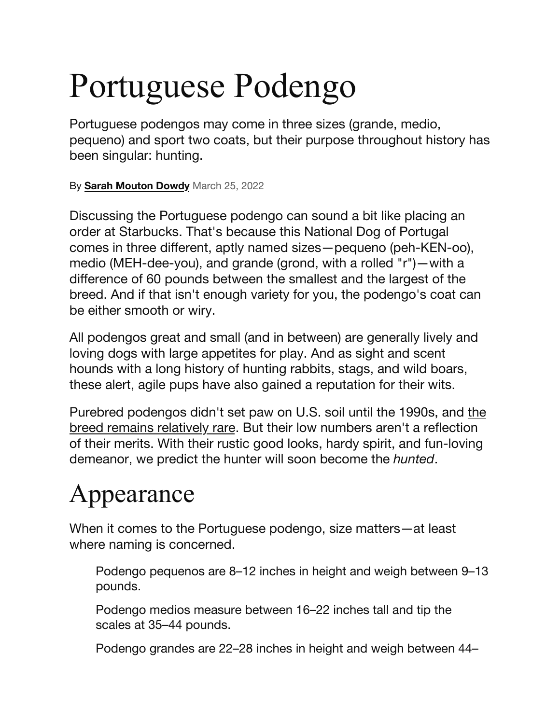# Portuguese Podengo

Portuguese podengos may come in three sizes (grande, medio, pequeno) and sport two coats, but their purpose throughout history has been singular: hunting.

By **[Sarah Mouton Dowdy](https://www.dailypaws.com/author/sarah-mouton-dowdy)** March 25, 2022

Discussing the Portuguese podengo can sound a bit like placing an order at Starbucks. That's because this National Dog of Portugal comes in three different, aptly named sizes—pequeno (peh-KEN-oo), medio (MEH-dee-you), and grande (grond, with a rolled "r")—with a difference of 60 pounds between the smallest and the largest of the breed. And if that isn't enough variety for you, the podengo's coat can be either smooth or wiry.

All podengos great and small (and in between) are generally lively and loving dogs with large appetites for play. And as sight and scent hounds with a long history of hunting rabbits, stags, and wild boars, these alert, agile pups have also gained a reputation for their wits.

Purebred podengos didn't set paw on U.S. soil until the 1990s, and [the](https://www.dailypaws.com/living-with-pets/pet-compatibility/rare-dog-breeds)  [breed remains relatively rare.](https://www.dailypaws.com/living-with-pets/pet-compatibility/rare-dog-breeds) But their low numbers aren't a reflection of their merits. With their rustic good looks, hardy spirit, and fun-loving demeanor, we predict the hunter will soon become the *hunted*.

#### Appearance

When it comes to the Portuguese podengo, size matters—at least where naming is concerned.

Podengo pequenos are 8–12 inches in height and weigh between 9–13 pounds.

Podengo medios measure between 16–22 inches tall and tip the scales at 35–44 pounds.

Podengo grandes are 22–28 inches in height and weigh between 44–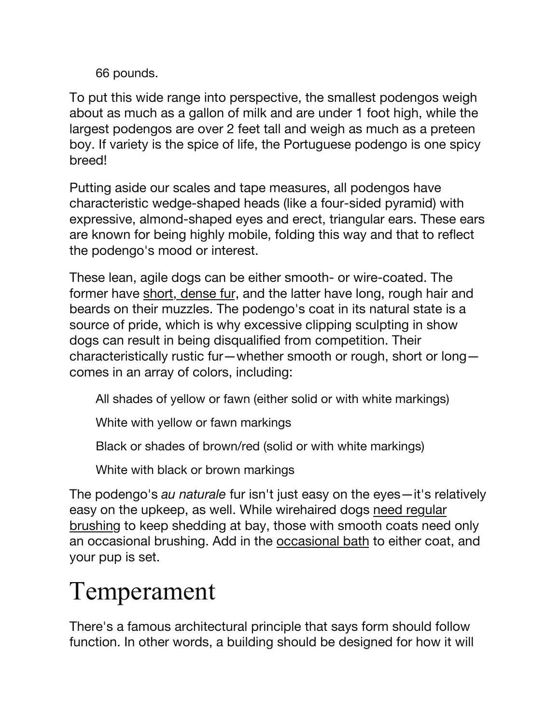66 pounds.

To put this wide range into perspective, the smallest podengos weigh about as much as a gallon of milk and are under 1 foot high, while the largest podengos are over 2 feet tall and weigh as much as a preteen boy. If variety is the spice of life, the Portuguese podengo is one spicy breed!

Putting aside our scales and tape measures, all podengos have characteristic wedge-shaped heads (like a four-sided pyramid) with expressive, almond-shaped eyes and erect, triangular ears. These ears are known for being highly mobile, folding this way and that to reflect the podengo's mood or interest.

These lean, agile dogs can be either smooth- or wire-coated. The former have [short, dense fur,](https://www.dailypaws.com/living-with-pets/pet-compatibility/short-haired-dog-breeds) and the latter have long, rough hair and beards on their muzzles. The podengo's coat in its natural state is a source of pride, which is why excessive clipping sculpting in show dogs can result in being disqualified from competition. Their characteristically rustic fur—whether smooth or rough, short or long comes in an array of colors, including:

All shades of yellow or fawn (either solid or with white markings)

White with yellow or fawn markings

Black or shades of brown/red (solid or with white markings)

White with black or brown markings

The podengo's *au naturale* fur isn't just easy on the eyes—it's relatively easy on the upkeep, as well. While wirehaired dogs [need regular](https://www.dailypaws.com/gear-apparel/dog-supplies/dog-grooming-supplies/best-dog-brushes)  [brushing](https://www.dailypaws.com/gear-apparel/dog-supplies/dog-grooming-supplies/best-dog-brushes) to keep shedding at bay, those with smooth coats need only an occasional brushing. Add in the [occasional bath](https://www.dailypaws.com/dogs-puppies/dog-grooming/how-to-bathe-a-dog) to either coat, and your pup is set.

### Temperament

There's a famous architectural principle that says form should follow function. In other words, a building should be designed for how it will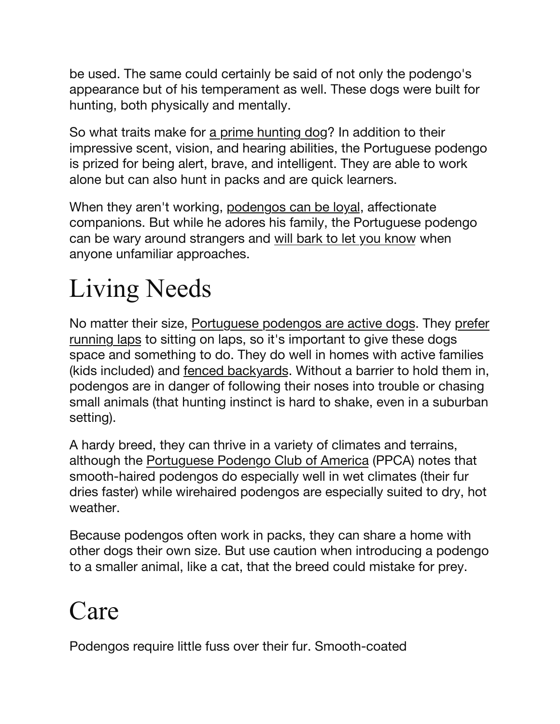be used. The same could certainly be said of not only the podengo's appearance but of his temperament as well. These dogs were built for hunting, both physically and mentally.

So what traits make for [a prime hunting dog](https://www.dailypaws.com/living-with-pets/pet-compatibility/hunting-dog-breeds)? In addition to their impressive scent, vision, and hearing abilities, the Portuguese podengo is prized for being alert, brave, and intelligent. They are able to work alone but can also hunt in packs and are quick learners.

When they aren't working, [podengos can be loyal,](https://www.dailypaws.com/living-with-pets/pet-compatibility/loyal-dog-breeds) affectionate companions. But while he adores his family, the Portuguese podengo can be wary around strangers and [will bark to let you know](https://www.dailypaws.com/dogs-puppies/dog-behavior/common-dog-behaviors/how-to-stop-a-dog-from-barking) when anyone unfamiliar approaches.

## Living Needs

No matter their size, [Portuguese podengos are active dogs](https://www.dailypaws.com/living-with-pets/pet-compatibility/active-dog-breeds). They [prefer](https://www.dailypaws.com/dogs-puppies/dog-exercise-play/running-with-dog)  [running laps](https://www.dailypaws.com/dogs-puppies/dog-exercise-play/running-with-dog) to sitting on laps, so it's important to give these dogs space and something to do. They do well in homes with active families (kids included) and [fenced backyards.](https://www.dailypaws.com/living-with-pets/pet-friendly-home/dog-fence) Without a barrier to hold them in, podengos are in danger of following their noses into trouble or chasing small animals (that hunting instinct is hard to shake, even in a suburban setting).

A hardy breed, they can thrive in a variety of climates and terrains, although the [Portuguese Podengo Club of America](http://www.podengos.net/podengos/historyofthepodengo/) (PPCA) notes that smooth-haired podengos do especially well in wet climates (their fur dries faster) while wirehaired podengos are especially suited to dry, hot weather.

Because podengos often work in packs, they can share a home with other dogs their own size. But use caution when introducing a podengo to a smaller animal, like a cat, that the breed could mistake for prey.

#### Care

Podengos require little fuss over their fur. Smooth-coated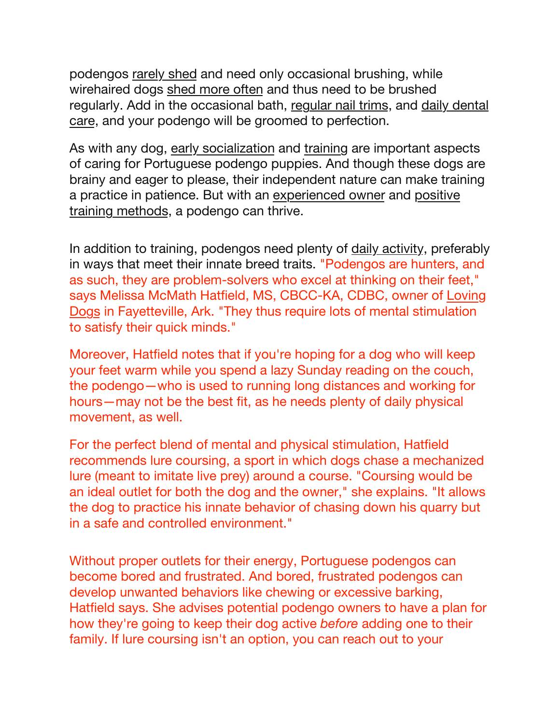podengos [rarely shed](https://www.dailypaws.com/living-with-pets/pet-compatibility/dog-breeds-that-dont-shed) and need only occasional brushing, while wirehaired dogs [shed more often](https://www.dailypaws.com/dogs-puppies/dog-grooming/dog-shedding) and thus need to be brushed regularly. Add in the occasional bath, [regular nail trims,](https://www.dailypaws.com/dogs-puppies/dog-grooming/dog-nail-trimming) and [daily dental](https://www.dailypaws.com/dogs-puppies/dog-grooming/how-to-brush-dogs-teeth)  [care,](https://www.dailypaws.com/dogs-puppies/dog-grooming/how-to-brush-dogs-teeth) and your podengo will be groomed to perfection.

As with any dog, [early socialization](https://www.dailypaws.com/dogs-puppies/dog-training/basic/how-to-socialize-a-puppy) and [training](https://www.dailypaws.com/dogs-puppies/dog-training) are important aspects of caring for Portuguese podengo puppies. And though these dogs are brainy and eager to please, their independent nature can make training a practice in patience. But with an [experienced owner](https://www.dailypaws.com/living-with-pets/pet-owner-relationship/when-am-i-considered-an-experienced-dog-owner) and [positive](https://www.dailypaws.com/dogs-puppies/dog-training/basic/positive-reinforcement-dog-training)  [training methods](https://www.dailypaws.com/dogs-puppies/dog-training/basic/positive-reinforcement-dog-training), a podengo can thrive.

In addition to training, podengos need plenty of [daily activity](https://www.dailypaws.com/dogs-puppies/dog-exercise-play), preferably in ways that meet their innate breed traits. "Podengos are hunters, and as such, they are problem-solvers who excel at thinking on their feet," says Melissa McMath Hatfield, MS, CBCC-KA, CDBC, owner of [Loving](https://www.lovingdogs.net/)  [Dogs](https://www.lovingdogs.net/) in Fayetteville, Ark. "They thus require lots of mental stimulation to satisfy their quick minds."

Moreover, Hatfield notes that if you're hoping for a dog who will keep your feet warm while you spend a lazy Sunday reading on the couch, the podengo—who is used to running long distances and working for hours—may not be the best fit, as he needs plenty of daily physical movement, as well.

For the perfect blend of mental and physical stimulation, Hatfield recommends lure coursing, a sport in which dogs chase a mechanized lure (meant to imitate live prey) around a course. "Coursing would be an ideal outlet for both the dog and the owner," she explains. "It allows the dog to practice his innate behavior of chasing down his quarry but in a safe and controlled environment."

Without proper outlets for their energy, Portuguese podengos can become bored and frustrated. And bored, frustrated podengos can develop unwanted behaviors like chewing or excessive barking, Hatfield says. She advises potential podengo owners to have a plan for how they're going to keep their dog active *before* adding one to their family. If lure coursing isn't an option, you can reach out to your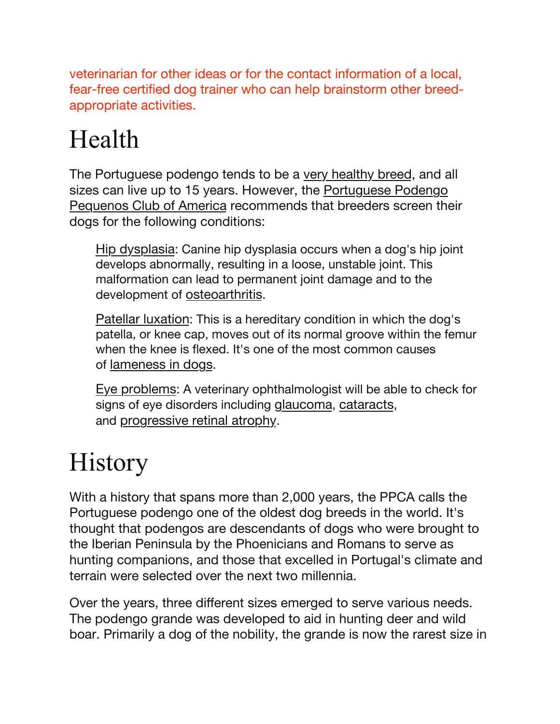veterinarian for other ideas or for the contact information of a local, fear-free certified dog trainer who can help brainstorm other breedappropriate activities.

### Health

The Portuguese podengo tends to be a [very healthy breed](https://www.dailypaws.com/living-with-pets/pet-compatibility/healthiest-dog-breeds), and all sizes can live up to 15 years. However, the Portuguese Podengo [Pequenos Club of America](http://cdn.akc.org/Marketplace/Health-Statement/Portuguese-Podengo-Pequeno.pdf) recommends that breeders screen their dogs for the following conditions:

[Hip dysplasia](https://www.dailypaws.com/dogs-puppies/health-care/senior-dog-health/hip-dysplasia): Canine hip dysplasia occurs when a dog's hip joint develops abnormally, resulting in a loose, unstable joint. This malformation can lead to permanent joint damage and to the development of [osteoarthritis.](https://www.dailypaws.com/dogs-puppies/health-care/senior-dog-health/arthritis-in-dogs)

[Patellar luxation](https://www.dailypaws.com/dogs-puppies/health-care/dog-conditions/luxating-patella): This is a hereditary condition in which the dog's patella, or knee cap, moves out of its normal groove within the femur when the knee is flexed. It's one of the most common causes of [lameness in dogs.](https://www.ncbi.nlm.nih.gov/pmc/articles/PMC6055913/)

[Eye problems:](https://www.dailypaws.com/dogs-puppies/health-care/dog-conditions/dog-eye-infection) A veterinary ophthalmologist will be able to check for signs of eye disorders including [glaucoma](https://www.merckvetmanual.com/dog-owners/eye-disorders-of-dogs/glaucoma-in-dogs), [cataracts,](https://www.dailypaws.com/dogs-puppies/health-care/senior-dog-health/cataracts-in-dogs) and [progressive retinal atrophy](https://vcahospitals.com/know-your-pet/progressive-retinal-atrophy-in-dogs).

#### **History**

With a history that spans more than 2,000 years, the PPCA calls the Portuguese podengo one of the oldest dog breeds in the world. It's thought that podengos are descendants of dogs who were brought to the Iberian Peninsula by the Phoenicians and Romans to serve as hunting companions, and those that excelled in Portugal's climate and terrain were selected over the next two millennia.

Over the years, three different sizes emerged to serve various needs. The podengo grande was developed to aid in hunting deer and wild boar. Primarily a dog of the nobility, the grande is now the rarest size in